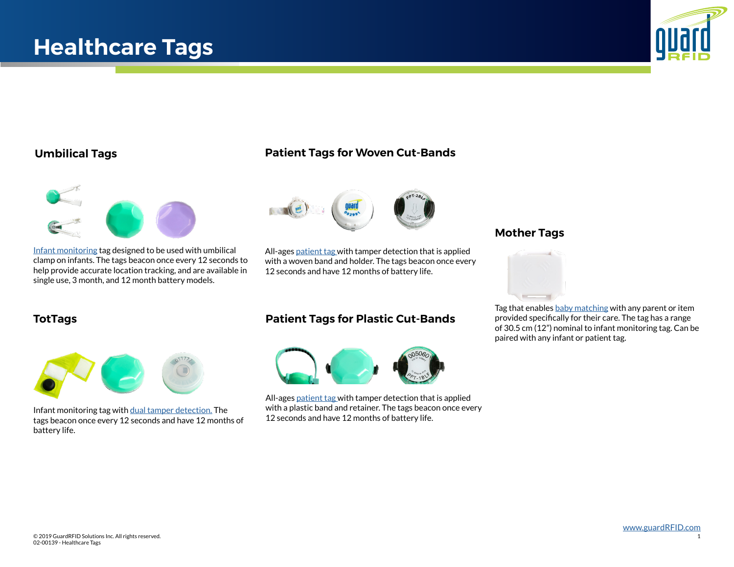

# **Umbilical Tags**



[Infant monitoring](https://www.guardrfid.com/healthcare-rtls/infant-security/) tag designed to be used with umbilical clamp on infants. The tags beacon once every 12 seconds to help provide accurate location tracking, and are available in single use, 3 month, and 12 month battery models.

# **Patient Tags for Woven Cut-Bands**



All-ages [patient tag w](https://www.guardrfid.com/infant-security/)ith tamper detection that is applied with a woven band and holder. The tags beacon once every 12 seconds and have 12 months of battery life.



Infant monitoring tag with [dual tamper detection.](https://www.guardrfid.com/infant-security/) The tags beacon once every 12 seconds and have 12 months of battery life.

# **TotTags Patient Tags for Plastic Cut-Bands**



All-ages [patient tag](https://www.guardrfid.com/infant-security/) with tamper detection that is applied with a plastic band and retainer. The tags beacon once every 12 seconds and have 12 months of battery life.

## **Mother Tags**



Tag that enables [baby matching](https://www.guardrfid.com/infant-security/) with any parent or item provided specifically for their care. The tag has a range of 30.5 cm (12") nominal to infant monitoring tag. Can be paired with any infant or patient tag.